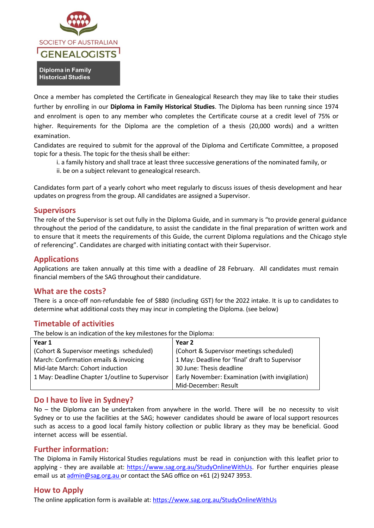

Once a member has completed the Certificate in Genealogical Research they may like to take their studies further by enrolling in our **Diploma in Family Historical Studies**. The Diploma has been running since 1974 and enrolment is open to any member who completes the Certificate course at a credit level of 75% or higher. Requirements for the Diploma are the completion of a thesis (20,000 words) and a written examination.

Candidates are required to submit for the approval of the Diploma and Certificate Committee, a proposed topic for a thesis. The topic for the thesis shall be either:

- i. a family history and shall trace at least three successive generations of the nominated family, or
- ii. be on a subject relevant to genealogical research.

Candidates form part of a yearly cohort who meet regularly to discuss issues of thesis development and hear updates on progress from the group. All candidates are assigned a Supervisor.

## **Supervisors**

The role of the Supervisor is set out fully in the Diploma Guide, and in summary is "to provide general guidance throughout the period of the candidature, to assist the candidate in the final preparation of written work and to ensure that it meets the requirements of this Guide, the current Diploma regulations and the Chicago style of referencing". Candidates are charged with initiating contact with their Supervisor.

## **Applications**

Applications are taken annually at this time with a deadline of 28 February. All candidates must remain financial members of the SAG throughout their candidature.

## **What are the costs?**

There is a once-off non-refundable fee of \$880 (including GST) for the 2022 intake. It is up to candidates to determine what additional costs they may incur in completing the Diploma. (see below)

## **Timetable of activities**

The below is an indication of the key milestones for the Diploma:

| Year 1                                          | Year 2                                          |
|-------------------------------------------------|-------------------------------------------------|
| (Cohort & Supervisor meetings scheduled)        | (Cohort & Supervisor meetings scheduled)        |
| March: Confirmation emails & invoicing          | 1 May: Deadline for 'final' draft to Supervisor |
| Mid-late March: Cohort induction                | 30 June: Thesis deadline                        |
| 1 May: Deadline Chapter 1/outline to Supervisor | Early November: Examination (with invigilation) |
|                                                 | Mid-December: Result                            |

## **Do I have to live in Sydney?**

No – the Diploma can be undertaken from anywhere in the world. There will be no necessity to visit Sydney or to use the facilities at the SAG; however candidates should be aware of local support resources such as access to a good local family history collection or public library as they may be beneficial. Good internet access will be essential.

## **Further information:**

The Diploma in Family Historical Studies regulations must be read in conjunction with this leaflet prior to applying - they are available at: [https://www.sag.org.au/StudyOnlineWithUs.](https://www.sag.org.au/StudyOnlineWithUs) For further enquiries please email us at [admin@sag.org.au](mailto:admin@sag.org.au) or contact the SAG office on +61 (2) 9247 3953.

## **How to Apply**

The online application form is available at:<https://www.sag.org.au/StudyOnlineWithUs>